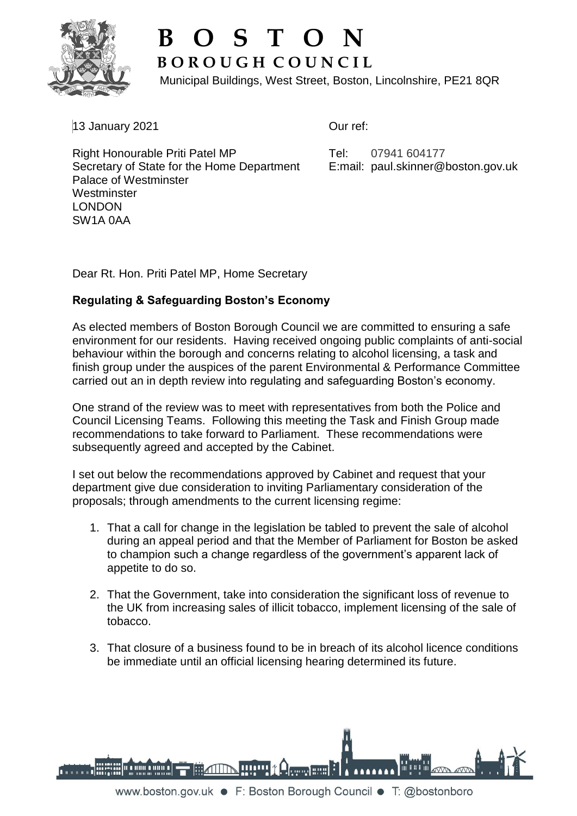

## **B O S T O N B O R O U G H C O U N C I L**

Municipal Buildings, West Street, Boston, Lincolnshire, PE21 8QR

13 January 2021

Our ref:

Right Honourable Priti Patel MP Secretary of State for the Home Department Palace of Westminster **Westminster** LONDON SW1A 0AA

Tel: 07941 604177 E:mail: paul.skinner@boston.gov.uk

Dear Rt. Hon. Priti Patel MP, Home Secretary

## **Regulating & Safeguarding Boston's Economy**

As elected members of Boston Borough Council we are committed to ensuring a safe environment for our residents. Having received ongoing public complaints of anti-social behaviour within the borough and concerns relating to alcohol licensing, a task and finish group under the auspices of the parent Environmental & Performance Committee carried out an in depth review into regulating and safeguarding Boston's economy.

One strand of the review was to meet with representatives from both the Police and Council Licensing Teams. Following this meeting the Task and Finish Group made recommendations to take forward to Parliament. These recommendations were subsequently agreed and accepted by the Cabinet.

I set out below the recommendations approved by Cabinet and request that your department give due consideration to inviting Parliamentary consideration of the proposals; through amendments to the current licensing regime:

- 1. That a call for change in the legislation be tabled to prevent the sale of alcohol during an appeal period and that the Member of Parliament for Boston be asked to champion such a change regardless of the government's apparent lack of appetite to do so.
- 2. That the Government, take into consideration the significant loss of revenue to the UK from increasing sales of illicit tobacco, implement licensing of the sale of tobacco.
- 3. That closure of a business found to be in breach of its alcohol licence conditions be immediate until an official licensing hearing determined its future.